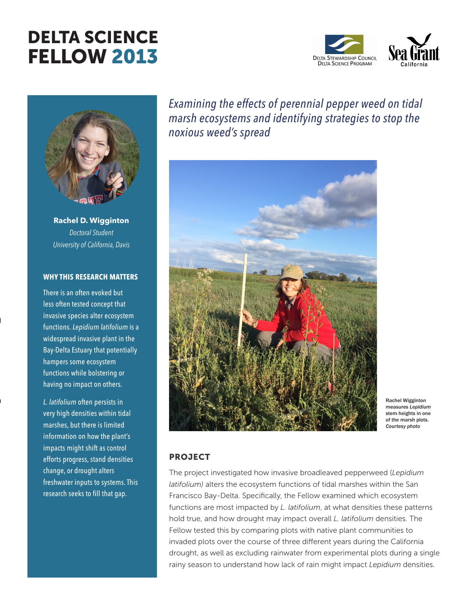# DELTA SCIENCE FELLOW 2013





**Rachel D. Wigginton** *Doctoral Student University of California, Davis*

# **WHY THIS RESEARCH MATTERS**

There is an often evoked but less often tested concept that invasive species alter ecosystem functions. *Lepidium latifolium* is a widespread invasive plant in the Bay-Delta Estuary that potentially hampers some ecosystem functions while bolstering or having no impact on others.

 $\mathbf{j}$ 

 $\overline{a}$ 

*L. latifolium* often persists in very high densities within tidal marshes, but there is limited information on how the plant's impacts might shift as control efforts progress, stand densities change, or drought alters freshwater inputs to systems. This research seeks to fill that gap.

*Examining the effects of perennial pepper weed on tidal marsh ecosystems and identifying strategies to stop the noxious weed's spread*



Rachel Wigginton measures *Lepidium* stem heights in one of the marsh plots. *Courtesy photo*

# PROJECT

The project investigated how invasive broadleaved pepperweed (*Lepidium latifolium)* alters the ecosystem functions of tidal marshes within the San Francisco Bay-Delta. Specifically, the Fellow examined which ecosystem functions are most impacted by *L. latifolium*, at what densities these patterns hold true, and how drought may impact overall *L. latifolium* densities. The Fellow tested this by comparing plots with native plant communities to invaded plots over the course of three different years during the California drought, as well as excluding rainwater from experimental plots during a single rainy season to understand how lack of rain might impact *Lepidium* densities.